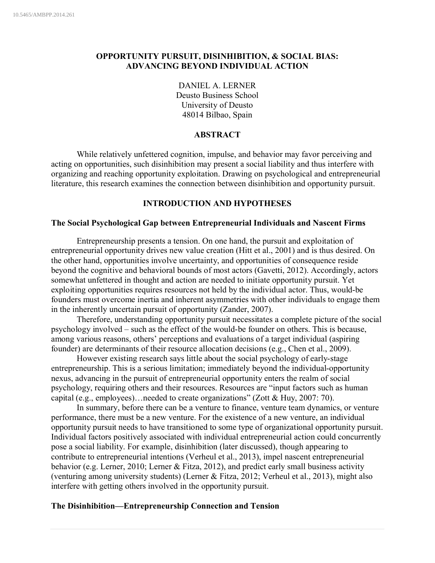# **OPPORTUNITY PURSUIT, DISINHIBITION, & SOCIAL BIAS: ADVANCING BEYOND INDIVIDUAL ACTION**

DANIEL A. LERNER Deusto Business School University of Deusto 48014 Bilbao, Spain

# **ABSTRACT**

While relatively unfettered cognition, impulse, and behavior may favor perceiving and acting on opportunities, such disinhibition may present a social liability and thus interfere with organizing and reaching opportunity exploitation. Drawing on psychological and entrepreneurial literature, this research examines the connection between disinhibition and opportunity pursuit.

## **INTRODUCTION AND HYPOTHESES**

## **The Social Psychological Gap between Entrepreneurial Individuals and Nascent Firms**

Entrepreneurship presents a tension. On one hand, the pursuit and exploitation of entrepreneurial opportunity drives new value creation (Hitt et al., 2001) and is thus desired. On the other hand, opportunities involve uncertainty, and opportunities of consequence reside beyond the cognitive and behavioral bounds of most actors (Gavetti, 2012). Accordingly, actors somewhat unfettered in thought and action are needed to initiate opportunity pursuit. Yet exploiting opportunities requires resources not held by the individual actor. Thus, would-be founders must overcome inertia and inherent asymmetries with other individuals to engage them in the inherently uncertain pursuit of opportunity (Zander, 2007).

Therefore, understanding opportunity pursuit necessitates a complete picture of the social psychology involved – such as the effect of the would-be founder on others. This is because, among various reasons, others' perceptions and evaluations of a target individual (aspiring founder) are determinants of their resource allocation decisions (e.g., Chen et al., 2009).

However existing research says little about the social psychology of early-stage entrepreneurship. This is a serious limitation; immediately beyond the individual-opportunity nexus, advancing in the pursuit of entrepreneurial opportunity enters the realm of social psychology, requiring others and their resources. Resources are "input factors such as human capital (e.g., employees)…needed to create organizations" (Zott & Huy, 2007: 70).

In summary, before there can be a venture to finance, venture team dynamics, or venture performance, there must be a new venture. For the existence of a new venture, an individual opportunity pursuit needs to have transitioned to some type of organizational opportunity pursuit. Individual factors positively associated with individual entrepreneurial action could concurrently pose a social liability. For example, disinhibition (later discussed), though appearing to contribute to entrepreneurial intentions (Verheul et al., 2013), impel nascent entrepreneurial behavior (e.g. Lerner, 2010; Lerner & Fitza, 2012), and predict early small business activity (venturing among university students) (Lerner & Fitza, 2012; Verheul et al., 2013), might also interfere with getting others involved in the opportunity pursuit.

## **The Disinhibition—Entrepreneurship Connection and Tension**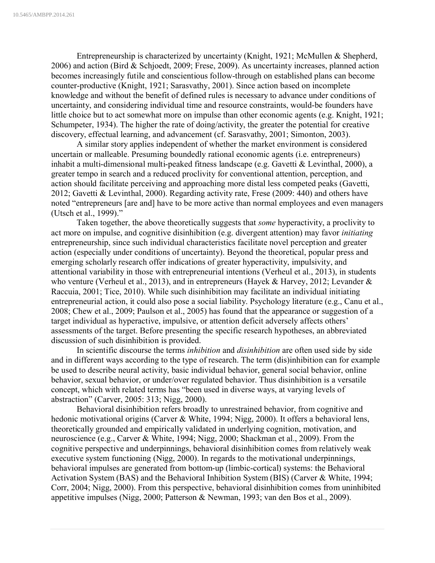Entrepreneurship is characterized by uncertainty (Knight, 1921; McMullen & Shepherd, 2006) and action (Bird & Schjoedt, 2009; Frese, 2009). As uncertainty increases, planned action becomes increasingly futile and conscientious follow-through on established plans can become counter-productive (Knight, 1921; Sarasvathy, 2001). Since action based on incomplete knowledge and without the benefit of defined rules is necessary to advance under conditions of uncertainty, and considering individual time and resource constraints, would-be founders have little choice but to act somewhat more on impulse than other economic agents (e.g. Knight, 1921; Schumpeter, 1934). The higher the rate of doing/activity, the greater the potential for creative discovery, effectual learning, and advancement (cf. Sarasvathy, 2001; Simonton, 2003).

A similar story applies independent of whether the market environment is considered uncertain or malleable. Presuming boundedly rational economic agents (i.e. entrepreneurs) inhabit a multi-dimensional multi-peaked fitness landscape (e.g. Gavetti & Levinthal, 2000), a greater tempo in search and a reduced proclivity for conventional attention, perception, and action should facilitate perceiving and approaching more distal less competed peaks (Gavetti, 2012; Gavetti & Levinthal, 2000). Regarding activity rate, Frese (2009: 440) and others have noted "entrepreneurs [are and] have to be more active than normal employees and even managers (Utsch et al., 1999)."

Taken together, the above theoretically suggests that *some* hyperactivity, a proclivity to act more on impulse, and cognitive disinhibition (e.g. divergent attention) may favor *initiating* entrepreneurship, since such individual characteristics facilitate novel perception and greater action (especially under conditions of uncertainty). Beyond the theoretical, popular press and emerging scholarly research offer indications of greater hyperactivity, impulsivity, and attentional variability in those with entrepreneurial intentions (Verheul et al., 2013), in students who venture (Verheul et al., 2013), and in entrepreneurs (Hayek & Harvey, 2012; Levander & Raccuia, 2001; Tice, 2010). While such disinhibition may facilitate an individual initiating entrepreneurial action, it could also pose a social liability. Psychology literature (e.g., Canu et al., 2008; Chew et al., 2009; Paulson et al., 2005) has found that the appearance or suggestion of a target individual as hyperactive, impulsive, or attention deficit adversely affects others' assessments of the target. Before presenting the specific research hypotheses, an abbreviated discussion of such disinhibition is provided.

In scientific discourse the terms *inhibition* and *disinhibition* are often used side by side and in different ways according to the type of research. The term (dis)inhibition can for example be used to describe neural activity, basic individual behavior, general social behavior, online behavior, sexual behavior, or under/over regulated behavior. Thus disinhibition is a versatile concept, which with related terms has "been used in diverse ways, at varying levels of abstraction" (Carver, 2005: 313; Nigg, 2000).

Behavioral disinhibition refers broadly to unrestrained behavior, from cognitive and hedonic motivational origins (Carver & White, 1994; Nigg, 2000). It offers a behavioral lens, theoretically grounded and empirically validated in underlying cognition, motivation, and neuroscience (e.g., Carver & White, 1994; Nigg, 2000; Shackman et al., 2009). From the cognitive perspective and underpinnings, behavioral disinhibition comes from relatively weak executive system functioning (Nigg, 2000). In regards to the motivational underpinnings, behavioral impulses are generated from bottom-up (limbic-cortical) systems: the Behavioral Activation System (BAS) and the Behavioral Inhibition System (BIS) (Carver & White, 1994; Corr, 2004; Nigg, 2000). From this perspective, behavioral disinhibition comes from uninhibited appetitive impulses (Nigg, 2000; Patterson & Newman, 1993; van den Bos et al., 2009).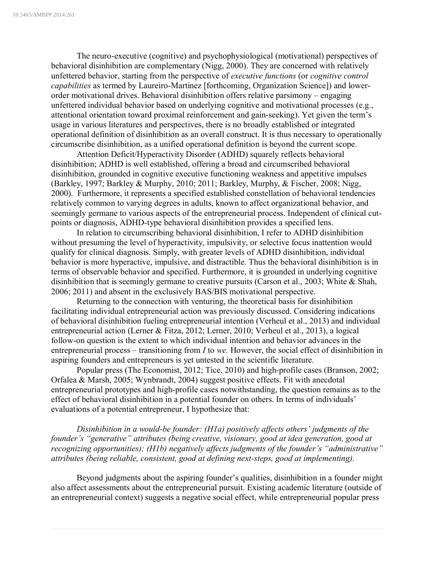The neuro-executive (cognitive) and psychophysiological (motivational) perspectives of behavioral disinhibition are complementary (Nigg, 2000). They are concerned with relatively unfettered behavior, starting from the perspective of *executive functions* (or *cognitive control capabilities* as termed by Laureiro-Martinez [forthcoming, Organization Science]) and lowerorder motivational drives. Behavioral disinhibition offers relative parsimony – engaging unfettered individual behavior based on underlying cognitive and motivational processes (e.g., attentional orientation toward proximal reinforcement and gain-seeking). Yet given the term's usage in various literatures and perspectives, there is no broadly established or integrated operational definition of disinhibition as an overall construct. It is thus necessary to operationally circumscribe disinhibition, as a unified operational definition is beyond the current scope.

Attention Deficit/Hyperactivity Disorder (ADHD) squarely reflects behavioral disinhibition; ADHD is well established, offering a broad and circumscribed behavioral disinhibition, grounded in cognitive executive functioning weakness and appetitive impulses (Barkley, 1997; Barkley & Murphy, 2010; 2011; Barkley, Murphy, & Fischer, 2008; Nigg, 2000). Furthermore, it represents a specified established constellation of behavioral tendencies relatively common to varying degrees in adults, known to affect organizational behavior, and seemingly germane to various aspects of the entrepreneurial process. Independent of clinical cutpoints or diagnosis, ADHD-type behavioral disinhibition provides a specified lens.

In relation to circumscribing behavioral disinhibition, I refer to ADHD disinhibition without presuming the level of hyperactivity, impulsivity, or selective focus inattention would qualify for clinical diagnosis. Simply, with greater levels of ADHD disinhibition, individual behavior is more hyperactive, impulsive, and distractible. Thus the behavioral disinhibition is in terms of observable behavior and specified. Furthermore, it is grounded in underlying cognitive disinhibition that is seemingly germane to creative pursuits (Carson et al., 2003; White & Shah, 2006; 2011) and absent in the exclusively BAS/BIS motivational perspective.

Returning to the connection with venturing, the theoretical basis for disinhibition facilitating individual entrepreneurial action was previously discussed. Considering indications of behavioral disinhibition fueling entrepreneurial intention (Verheul et al., 2013) and individual entrepreneurial action (Lerner & Fitza, 2012; Lerner, 2010; Verheul et al., 2013), a logical follow-on question is the extent to which individual intention and behavior advances in the entrepreneurial process – transitioning from *I* to *we.* However, the social effect of disinhibition in aspiring founders and entrepreneurs is yet untested in the scientific literature.

Popular press (The Economist, 2012; Tice, 2010) and high-profile cases (Branson, 2002; Orfalea & Marsh, 2005; Wynbrandt, 2004) suggest positive effects. Fit with anecdotal entrepreneurial prototypes and high-profile cases notwithstanding, the question remains as to the effect of behavioral disinhibition in a potential founder on others. In terms of individuals' evaluations of a potential entrepreneur, I hypothesize that:

*Disinhibition in a would-be founder: (H1a) positively affects others' judgments of the founder's "generative" attributes (being creative, visionary, good at idea generation, good at recognizing opportunities); (H1b) negatively affects judgments of the founder's "administrative" attributes (being reliable, consistent, good at defining next-steps, good at implementing).* 

Beyond judgments about the aspiring founder's qualities, disinhibition in a founder might also affect assessments about the entrepreneurial pursuit. Existing academic literature (outside of an entrepreneurial context) suggests a negative social effect, while entrepreneurial popular press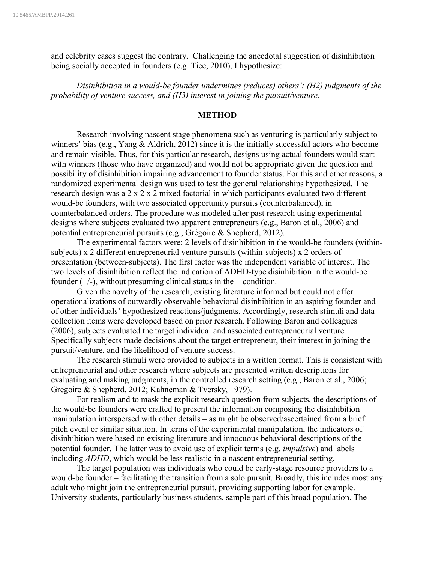and celebrity cases suggest the contrary. Challenging the anecdotal suggestion of disinhibition being socially accepted in founders (e.g. Tice, 2010), I hypothesize:

*Disinhibition in a would-be founder undermines (reduces) others': (H2) judgments of the probability of venture success, and (H3) interest in joining the pursuit/venture.*

#### **METHOD**

Research involving nascent stage phenomena such as venturing is particularly subject to winners' bias (e.g., Yang & Aldrich, 2012) since it is the initially successful actors who become and remain visible. Thus, for this particular research, designs using actual founders would start with winners (those who have organized) and would not be appropriate given the question and possibility of disinhibition impairing advancement to founder status. For this and other reasons, a randomized experimental design was used to test the general relationships hypothesized. The research design was a 2 x 2 x 2 mixed factorial in which participants evaluated two different would-be founders, with two associated opportunity pursuits (counterbalanced), in counterbalanced orders. The procedure was modeled after past research using experimental designs where subjects evaluated two apparent entrepreneurs (e.g., Baron et al., 2006) and potential entrepreneurial pursuits (e.g., Grégoire & Shepherd, 2012).

The experimental factors were: 2 levels of disinhibition in the would-be founders (withinsubjects) x 2 different entrepreneurial venture pursuits (within-subjects) x 2 orders of presentation (between-subjects). The first factor was the independent variable of interest. The two levels of disinhibition reflect the indication of ADHD-type disinhibition in the would-be founder  $(+/-)$ , without presuming clinical status in the  $+$  condition.

Given the novelty of the research, existing literature informed but could not offer operationalizations of outwardly observable behavioral disinhibition in an aspiring founder and of other individuals' hypothesized reactions/judgments. Accordingly, research stimuli and data collection items were developed based on prior research. Following Baron and colleagues (2006), subjects evaluated the target individual and associated entrepreneurial venture. Specifically subjects made decisions about the target entrepreneur, their interest in joining the pursuit/venture, and the likelihood of venture success.

The research stimuli were provided to subjects in a written format. This is consistent with entrepreneurial and other research where subjects are presented written descriptions for evaluating and making judgments, in the controlled research setting (e.g., Baron et al., 2006; Gregoire & Shepherd, 2012; Kahneman & Tversky, 1979).

For realism and to mask the explicit research question from subjects, the descriptions of the would-be founders were crafted to present the information composing the disinhibition manipulation interspersed with other details – as might be observed/ascertained from a brief pitch event or similar situation. In terms of the experimental manipulation, the indicators of disinhibition were based on existing literature and innocuous behavioral descriptions of the potential founder. The latter was to avoid use of explicit terms (e.g. *impulsive*) and labels including *ADHD*, which would be less realistic in a nascent entrepreneurial setting.

The target population was individuals who could be early-stage resource providers to a would-be founder – facilitating the transition from a solo pursuit. Broadly, this includes most any adult who might join the entrepreneurial pursuit, providing supporting labor for example. University students, particularly business students, sample part of this broad population. The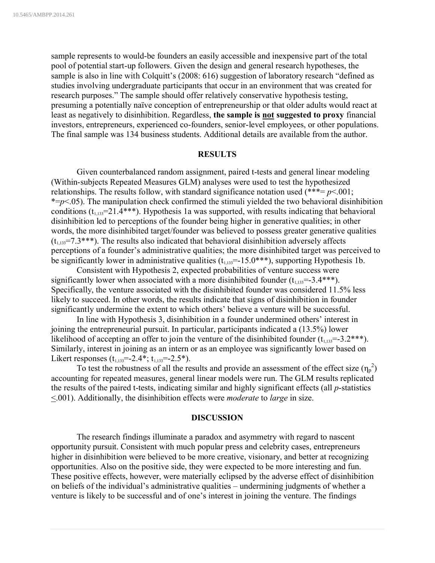sample represents to would-be founders an easily accessible and inexpensive part of the total pool of potential start-up followers. Given the design and general research hypotheses, the sample is also in line with Colquitt's (2008: 616) suggestion of laboratory research "defined as studies involving undergraduate participants that occur in an environment that was created for research purposes." The sample should offer relatively conservative hypothesis testing, presuming a potentially naïve conception of entrepreneurship or that older adults would react at least as negatively to disinhibition. Regardless, **the sample is not suggested to proxy** financial investors, entrepreneurs, experienced co-founders, senior-level employees, or other populations. The final sample was 134 business students. Additional details are available from the author.

#### **RESULTS**

Given counterbalanced random assignment, paired t-tests and general linear modeling (Within-subjects Repeated Measures GLM) analyses were used to test the hypothesized relationships. The results follow, with standard significance notation used  $(***= p<.001;$  $* = p \lt 0.05$ ). The manipulation check confirmed the stimuli yielded the two behavioral disinhibition conditions  $(t_{1,133}=21.4***)$ . Hypothesis 1a was supported, with results indicating that behavioral disinhibition led to perceptions of the founder being higher in generative qualities; in other words, the more disinhibited target/founder was believed to possess greater generative qualities  $(t<sub>1.133</sub>=7.3***)$ . The results also indicated that behavioral disinhibition adversely affects perceptions of a founder's administrative qualities; the more disinhibited target was perceived to be significantly lower in administrative qualities  $(t_{1,133}=-15.0***)$ , supporting Hypothesis 1b.

Consistent with Hypothesis 2, expected probabilities of venture success were significantly lower when associated with a more disinhibited founder  $(t_{1,13}=3.4***)$ . Specifically, the venture associated with the disinhibited founder was considered 11.5% less likely to succeed. In other words, the results indicate that signs of disinhibition in founder significantly undermine the extent to which others' believe a venture will be successful.

In line with Hypothesis 3, disinhibition in a founder undermined others' interest in joining the entrepreneurial pursuit. In particular, participants indicated a (13.5%) lower likelihood of accepting an offer to join the venture of the disinhibited founder  $(t_{1,13}=3.2***)$ . Similarly, interest in joining as an intern or as an employee was significantly lower based on Likert responses  $(t_{1,133}=-2.4^*; t_{1,133}=-2.5^*)$ .

To test the robustness of all the results and provide an assessment of the effect size  $(\eta_p^2)$ accounting for repeated measures, general linear models were run. The GLM results replicated the results of the paired t-tests, indicating similar and highly significant effects (all *p*-statistics <.001). Additionally, the disinhibition effects were *moderate* to *large* in size.

#### **DISCUSSION**

The research findings illuminate a paradox and asymmetry with regard to nascent opportunity pursuit. Consistent with much popular press and celebrity cases, entrepreneurs higher in disinhibition were believed to be more creative, visionary, and better at recognizing opportunities. Also on the positive side, they were expected to be more interesting and fun. These positive effects, however, were materially eclipsed by the adverse effect of disinhibition on beliefs of the individual's administrative qualities – undermining judgments of whether a venture is likely to be successful and of one's interest in joining the venture. The findings